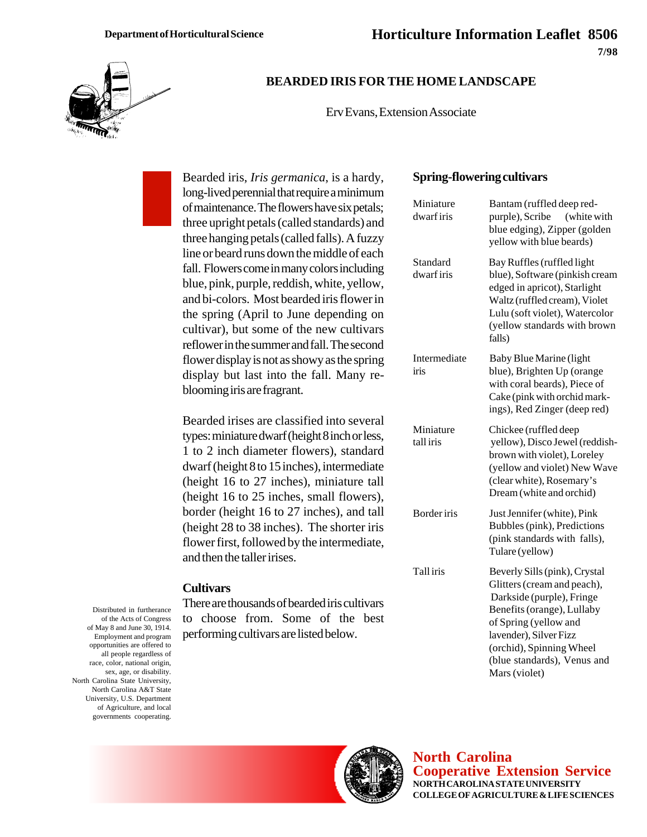

## **BEARDED IRIS FOR THE HOME LANDSCAPE**

Erv Evans, Extension Associate

Bearded iris, *Iris germanica*, is a hardy, long-lived perennial that require a minimum of maintenance. The flowers have six petals; three upright petals (called standards) and three hanging petals (called falls). A fuzzy line or beard runs down the middle of each fall. Flowers come in many colors including blue, pink, purple, reddish, white, yellow, and bi-colors. Most bearded iris flower in the spring (April to June depending on cultivar), but some of the new cultivars reflower in the summer and fall. The second flower display is not as showy as the spring display but last into the fall. Many reblooming iris are fragrant.

Bearded irises are classified into several types: miniature dwarf (height 8 inch or less, 1 to 2 inch diameter flowers), standard dwarf (height 8 to 15 inches), intermediate (height 16 to 27 inches), miniature tall (height 16 to 25 inches, small flowers), border (height 16 to 27 inches), and tall (height 28 to 38 inches). The shorter iris flower first, followed by the intermediate, and then the taller irises.

#### **Cultivars**

There are thousands of bearded iris cultivars to choose from. Some of the best performing cultivars are listed below.

**Spring-flowering cultivars**

| Miniature<br>dwarf iris | Bantam (ruffled deep red-<br>purple), Scribe<br>(white with<br>blue edging), Zipper (golden<br>yellow with blue beards)                                                                                                                                |
|-------------------------|--------------------------------------------------------------------------------------------------------------------------------------------------------------------------------------------------------------------------------------------------------|
| Standard<br>dwarf iris  | Bay Ruffles (ruffled light<br>blue), Software (pinkish cream<br>edged in apricot), Starlight<br>Waltz (ruffled cream), Violet<br>Lulu (soft violet), Watercolor<br>(yellow standards with brown<br>falls)                                              |
| Intermediate<br>iris    | <b>Baby Blue Marine (light</b><br>blue), Brighten Up (orange<br>with coral beards), Piece of<br>Cake (pink with orchid mark-<br>ings), Red Zinger (deep red)                                                                                           |
| Miniature<br>tall iris  | Chickee (ruffled deep<br>yellow), Disco Jewel (reddish-<br>brown with violet), Loreley<br>(yellow and violet) New Wave<br>(clear white), Rosemary's<br>Dream (white and orchid)                                                                        |
| Border iris             | Just Jennifer (white), Pink<br>Bubbles (pink), Predictions<br>(pink standards with falls),<br>Tulare (yellow)                                                                                                                                          |
| Tall iris               | Beverly Sills (pink), Crystal<br>Glitters (cream and peach),<br>Darkside (purple), Fringe<br>Benefits (orange), Lullaby<br>of Spring (yellow and<br>lavender), Silver Fizz<br>(orchid), Spinning Wheel<br>(blue standards), Venus and<br>Mars (violet) |





**North Carolina Cooperative Extension Service NORTH CAROLINA STATE UNIVERSITY COLLEGE OF AGRICULTURE & LIFE SCIENCES**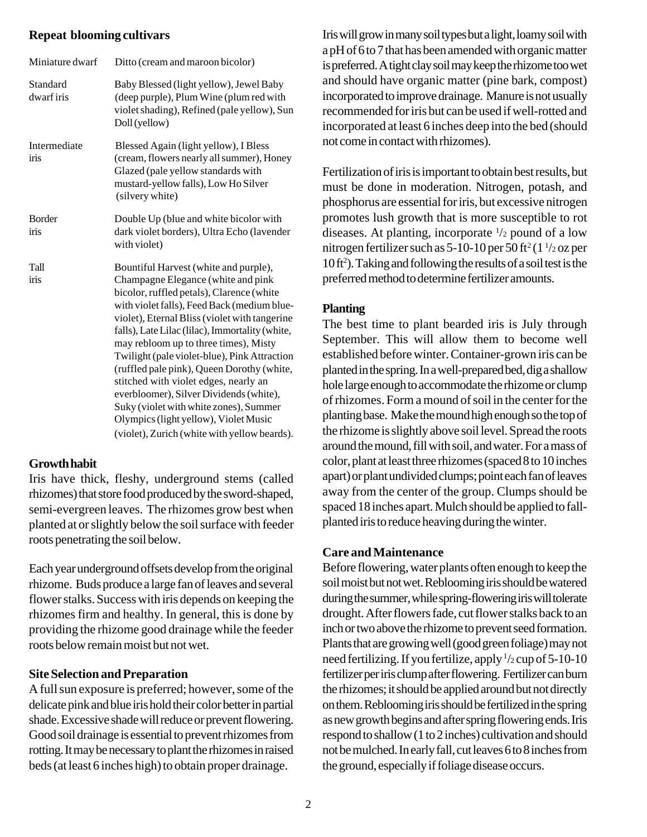#### **Repeat blooming cultivars**

| Miniature dwarf       | Ditto (cream and maroon bicolor)                                                                                                                                                                                                                                                                                                                                                                                                                                                                                                                                                                                                          |
|-----------------------|-------------------------------------------------------------------------------------------------------------------------------------------------------------------------------------------------------------------------------------------------------------------------------------------------------------------------------------------------------------------------------------------------------------------------------------------------------------------------------------------------------------------------------------------------------------------------------------------------------------------------------------------|
| Standard<br>dwarfiris | Baby Blessed (light yellow), Jewel Baby<br>(deep purple), Plum Wine (plum red with<br>violet shading), Refined (pale yellow), Sun<br>Doll (yellow)                                                                                                                                                                                                                                                                                                                                                                                                                                                                                        |
| Intermediate<br>iris  | Blessed Again (light yellow), I Bless<br>(cream, flowers nearly all summer), Honey<br>Glazed (pale yellow standards with<br>mustard-yellow falls), Low Ho Silver<br>(silvery white)                                                                                                                                                                                                                                                                                                                                                                                                                                                       |
| <b>Border</b><br>iris | Double Up (blue and white bicolor with<br>dark violet borders), Ultra Echo (lavender<br>with violet)                                                                                                                                                                                                                                                                                                                                                                                                                                                                                                                                      |
| Tall<br>iris          | Bountiful Harvest (white and purple),<br>Champagne Elegance (white and pink<br>bicolor, ruffled petals), Clarence (white<br>with violet falls), Feed Back (medium blue-<br>violet), Eternal Bliss (violet with tangerine<br>falls), Late Lilac (lilac), Immortality (white,<br>may rebloom up to three times), Misty<br>Twilight (pale violet-blue), Pink Attraction<br>(ruffled pale pink), Queen Dorothy (white,<br>stitched with violet edges, nearly an<br>everbloomer), Silver Dividends (white),<br>Suky (violet with white zones), Summer<br>Olympics (light yellow), Violet Music<br>(violet), Zurich (white with yellow beards). |

# **Growth habit**

Iris have thick, fleshy, underground stems (called rhizomes) that store food produced by the sword-shaped, semi-evergreen leaves. The rhizomes grow best when planted at or slightly below the soil surface with feeder roots penetrating the soil below.

Each year underground offsets develop from the original rhizome. Buds produce a large fan of leaves and several flower stalks. Success with iris depends on keeping the rhizomes firm and healthy. In general, this is done by providing the rhizome good drainage while the feeder roots below remain moist but not wet.

# **Site Selection and Preparation**

A full sun exposure is preferred; however, some of the delicate pink and blue iris hold their color better in partial shade. Excessive shade will reduce or prevent flowering. Good soil drainage is essential to prevent rhizomes from rotting. It may be necessary to plant the rhizomes in raised beds (at least 6 inches high) to obtain proper drainage.

Iris will grow in many soil types but a light, loamy soil with a pH of 6 to 7 that has been amended with organic matter is preferred. A tight clay soil may keep the rhizome too wet and should have organic matter (pine bark, compost) incorporated to improve drainage. Manure is not usually recommended for iris but can be used if well-rotted and incorporated at least 6 inches deep into the bed (should not come in contact with rhizomes).

Fertilization of iris is important to obtain best results, but must be done in moderation. Nitrogen, potash, and phosphorus are essential for iris, but excessive nitrogen promotes lush growth that is more susceptible to rot diseases. At planting, incorporate  $\frac{1}{2}$  pound of a low nitrogen fertilizer such as 5-10-10 per 50 ft<sup>2</sup> (1 $\frac{1}{2}$ oz per 10 ft2 ). Taking and following the results of a soil test is the preferred method to determine fertilizer amounts.

## **Planting**

The best time to plant bearded iris is July through September. This will allow them to become well established before winter. Container-grown iris can be planted in the spring. In a well-prepared bed, dig a shallow hole large enough to accommodate the rhizome or clump of rhizomes. Form a mound of soil in the center for the planting base. Make the mound high enough so the top of the rhizome is slightly above soil level. Spread the roots around the mound, fill with soil, and water. For a mass of color, plant at least three rhizomes (spaced 8 to 10 inches apart) or plant undivided clumps; point each fan of leaves away from the center of the group. Clumps should be spaced 18 inches apart. Mulch should be applied to fallplanted iris to reduce heaving during the winter.

# **Care and Maintenance**

Before flowering, water plants often enough to keep the soil moist but not wet. Reblooming iris should be watered during the summer, while spring-flowering iris will tolerate drought. After flowers fade, cut flower stalks back to an inch or two above the rhizome to prevent seed formation. Plants that are growing well (good green foliage) may not need fertilizing. If you fertilize, apply  $\frac{1}{2}$  cup of 5-10-10 fertilizer per iris clump after flowering. Fertilizer can burn the rhizomes; it should be applied around but not directly on them. Reblooming iris should be fertilized in the spring as new growth begins and after spring flowering ends. Iris respond to shallow (1 to 2 inches) cultivation and should not be mulched. In early fall, cut leaves 6 to 8 inches from the ground, especially if foliage disease occurs.